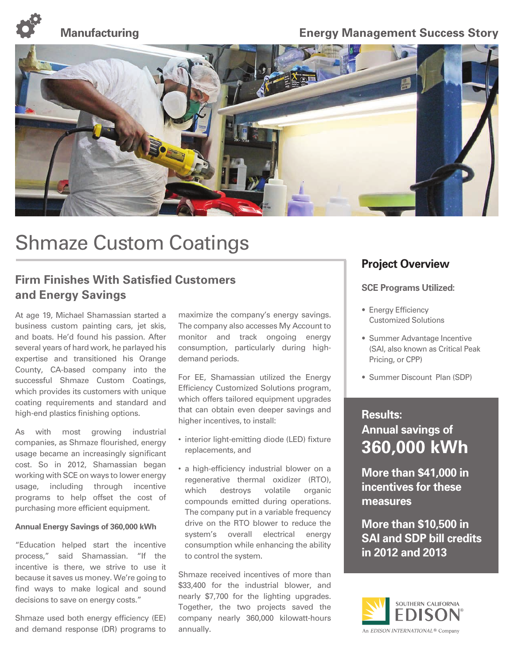

### **Manufacturing Construction Energy Management Success Story**



# Shmaze Custom Coatings

### **Firm Finishes With Satisfied Customers and Energy Savings**

At age 19, Michael Shamassian started a business custom painting cars, jet skis, and boats. He'd found his passion. After several years of hard work, he parlayed his expertise and transitioned his Orange County, CA-based company into the successful Shmaze Custom Coatings, which provides its customers with unique coating requirements and standard and high-end plastics finishing options.

As with most growing industrial companies, as Shmaze flourished, energy usage became an increasingly significant cost. So in 2012, Shamassian began working with SCE on ways to lower energy usage, including through incentive programs to help offset the cost of purchasing more efficient equipment.

#### **Annual Energy Savings of 360,000 kWh**

"Education helped start the incentive process," said Shamassian. "If the incentive is there, we strive to use it because it saves us money. We're going to find ways to make logical and sound decisions to save on energy costs."

Shmaze used both energy efficiency (EE) and demand response (DR) programs to

maximize the company's energy savings. The company also accesses My Account to monitor and track ongoing energy consumption, particularly during highdemand periods.

For EE, Shamassian utilized the Energy Efficiency Customized Solutions program, which offers tailored equipment upgrades that can obtain even deeper savings and higher incentives, to install:

- interior light-emitting diode (LED) fixture replacements, and
- a high-efficiency industrial blower on a regenerative thermal oxidizer (RTO), which destroys volatile organic compounds emitted during operations. The company put in a variable frequency drive on the RTO blower to reduce the system's overall electrical energy consumption while enhancing the ability to control the system.

Shmaze received incentives of more than \$33,400 for the industrial blower, and nearly \$7,700 for the lighting upgrades. Together, the two projects saved the company nearly 360,000 kilowatt-hours annually.

### **Project Overview**

#### **SCE Programs Utilized:**

- Energy Efficiency Customized Solutions
- Summer Advantage Incentive (SAI, also known as Critical Peak Pricing, or CPP)
- Summer Discount Plan (SDP)

## **Results: Annual savings of 360,000 kWh**

**More than \$41,000 in incentives for these measures** 

**More than \$10,500 in SAI and SDP bill credits in 2012 and 2013**